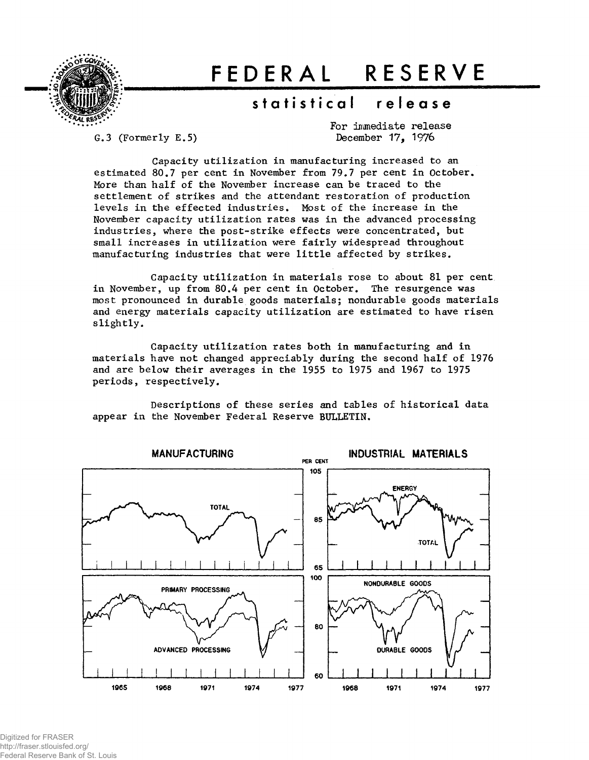

# **FEDERA L RESERV E**

# **statistica l releas e**

G.3 (Formerly E.5)

For immediate release December 17, 1976

Capacity utilization in manufacturing increased to an estimated 80.7 per cent in November from 79.7 per cent in October. More than half of the November increase can be traced to the settlement of strikes and the attendant restoration of production levels in the effected industries. Most of the increase in the November capacity utilization rates was in the advanced processing industries, where the post-strike effects were concentrated, but small increases in utilization were fairly widespread throughout manufacturing industries that were little affected by strikes.

Capacity utilization in materials rose to about 81 per cent in November, up from 80.4 per cent in October. The resurgence was most pronounced in durable goods materials; nondurable goods materials and energy materials capacity utilization are estimated to have risen slightly.

Capacity utilization rates both in manufacturing and in materials have not changed appreciably during the second half of 1976 and are below their averages in the 1955 to 1975 and 1967 to 1975 periods, respectively.

Descriptions of these series and tables of historical data appear in the November Federal Reserve BULLETIN.